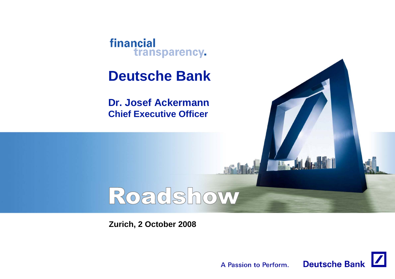

# **Deutsche Bank**

**Dr. Josef Ackermann Chief Executive Officer**

# Roadshow

**Zurich, 2 October 2008**



 $\mathbf{H}$ .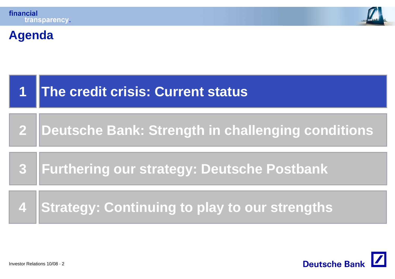

# **Agenda**

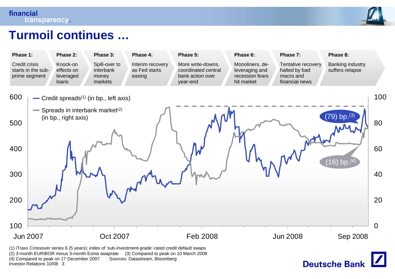

# **Turmoil continues continues …**



Investor Relations 10/08 · 3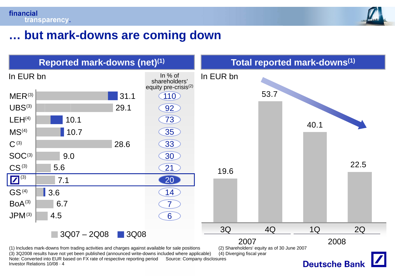

# **but mark-downs are coming down …**

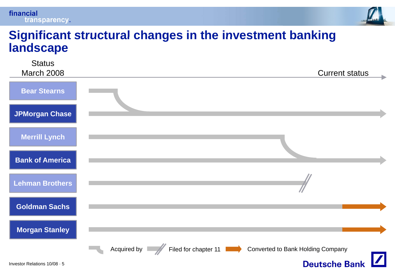#### financial transparency.



#### **Significant structural changes in the investment banking landscape**

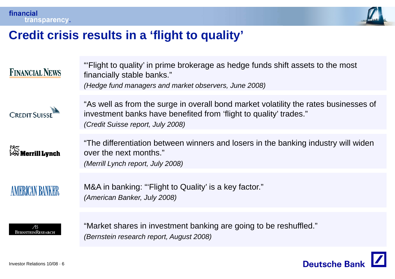

# **Credit crisis results in a 'flight to quality' flight quality**

| <b>FINANCIAL NEWS</b>      | "Flight to quality' in prime brokerage as hedge funds shift assets to the most<br>financially stable banks."<br>(Hedge fund managers and market observers, June 2008)                          |
|----------------------------|------------------------------------------------------------------------------------------------------------------------------------------------------------------------------------------------|
| <b>CREDIT SUISSE</b>       | "As well as from the surge in overall bond market volatility the rates businesses of<br>investment banks have benefited from 'flight to quality' trades."<br>(Credit Suisse report, July 2008) |
| 深S<br>Merrill <b>Lynch</b> | "The differentiation between winners and losers in the banking industry will widen<br>over the next months."<br>(Merrill Lynch report, July 2008)                                              |
| <b>AMERICAN BANKER</b>     | M&A in banking: "'Flight to Quality' is a key factor."<br>(American Banker, July 2008)                                                                                                         |
| Æ<br>BernsteinResearch     | "Market shares in investment banking are going to be reshuffled."<br>(Bernstein research report, August 2008)                                                                                  |

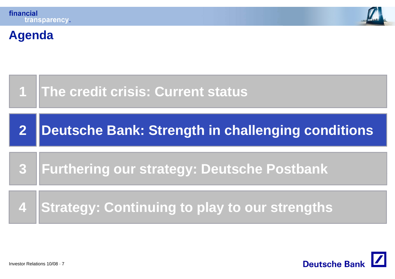**Agenda**







Investor Relations 10/08 · 7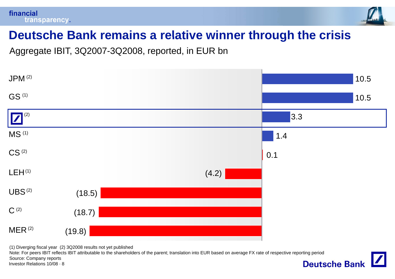



# **Deutsche Bank remains <sup>a</sup> relative winner through the crisis**

Aggregate IBIT, 3Q2007-3Q2008, reported, in EUR bn



(1) Diverging fiscal year (2) 3Q2008 results not yet published

Note: For peers IBIT reflects IBIT attributable to the shareholders of the parent; translation into EUR based on average FX rate of respective reporting period Source: Company reports**Deutsche Bank** 

Investor Relations 10/08 · 8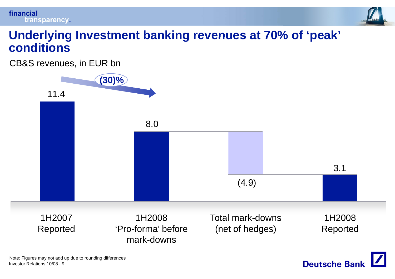



### **Underlying Investment banking revenues at 70% of 'peak' conditions**

CB&S revenues, in EUR bn

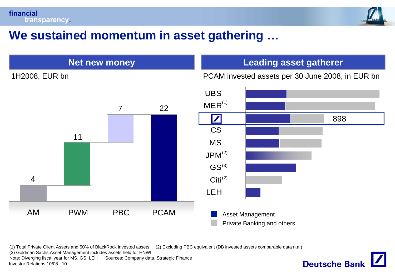

# **We sustained momentum in asset gathering gathering …**



(1) Total Private Client Assets and 50% of BlackRock invested assets (2) Excluding PBC equivalent (DB invested assets comparable data n.a.)

(3) Goldman Sachs Asset Management includes assets held for HNWI

Investor Relations 10/08 · 10Note: Diverging fiscal year for MS, GS, LEH Sources: Company data, Strategic Finance

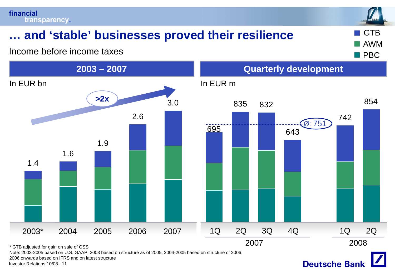# **and 'stable' businesses proved their resilience <b>E** GTB

Income before income taxes



Note: 2003-2005 based on U.S. GAAP, 2003 based on structure as of 2005, 2004-2005 based on structure of 2006;

2006 onwards based on IFRS and on latest structure

Investor Relations 10/08 · 11





AWM

PBC

**Barba**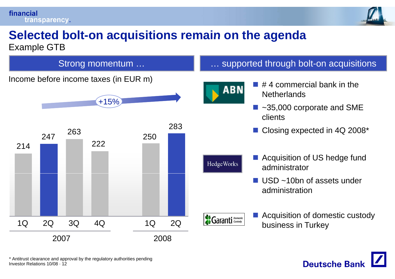#### financial transparency.



**Deutsche Banl** 

# **Selected bolt bolt-on acquisitions remain on the agenda on on the**

Example GTB



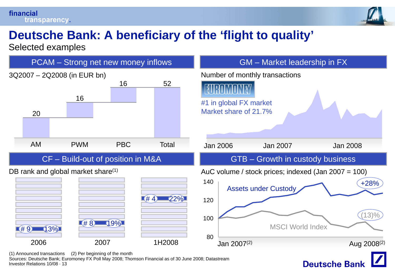#### financial transparency.



# **Deutsche Bank: A beneficiary of the 'flight to quality flight quality'**

Selected examples

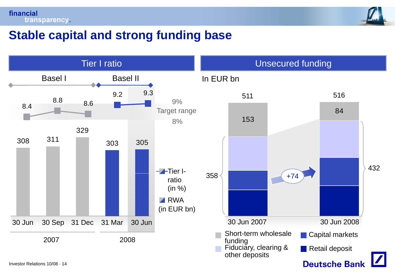



# **Stable capital and strong funding base**

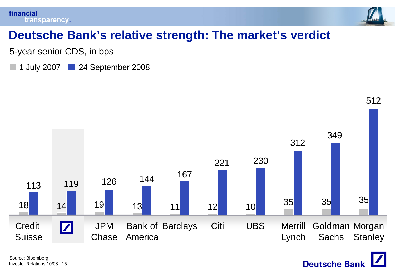

**Deutsche Bank** 

# **Deutsche Bank s' relative strength: The market s' verdict**

5-year senior CDS, in bps

1 July 2007 **24 September 2008** 

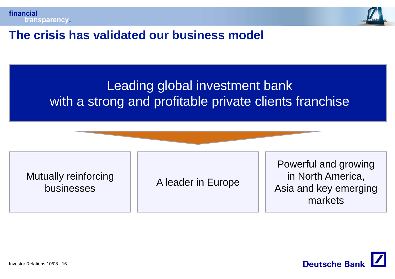



# **The crisis has validated our business model**

# Leading global investment bank with <sup>a</sup> strong and profitable private clients franchise

Mutually reinforci businesses

A leader in Europe

Powerful and growing forcing in Aleader in Furance in North America, Asia and key emerging markets

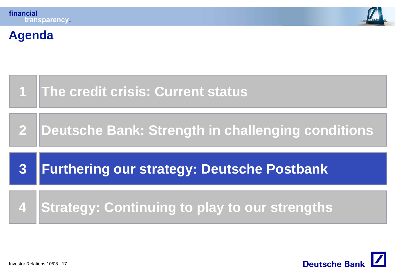**Agenda**





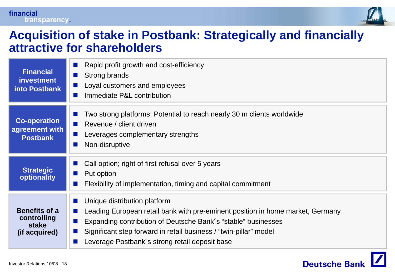

#### **Acquisition of stake in Postbank: Strategically and financially stake attractive for shareholders**

| <b>Financial</b><br><b>investment</b><br>into Postbank        | Rapid profit growth and cost-efficiency<br>Strong brands<br><b>COL</b><br>Loyal customers and employees<br><b>COL</b><br>Immediate P&L contribution<br><b>START</b>                                                                                                                                    |
|---------------------------------------------------------------|--------------------------------------------------------------------------------------------------------------------------------------------------------------------------------------------------------------------------------------------------------------------------------------------------------|
| <b>Co-operation</b><br>agreement with<br><b>Postbank</b>      | Two strong platforms: Potential to reach nearly 30 m clients worldwide<br>Revenue / client driven<br>$\sim 10$<br>Leverages complementary strengths<br>Non-disruptive                                                                                                                                  |
| <b>Strategic</b><br>optionality                               | Call option; right of first refusal over 5 years<br>Put option<br>a a s<br>Flexibility of implementation, timing and capital commitment                                                                                                                                                                |
| <b>Benefits of a</b><br>controlling<br>stake<br>(if acquired) | Unique distribution platform<br>Leading European retail bank with pre-eminent position in home market, Germany<br>Expanding contribution of Deutsche Bank's "stable" businesses<br>Significant step forward in retail business / "twin-pillar" model<br>Leverage Postbank's strong retail deposit base |

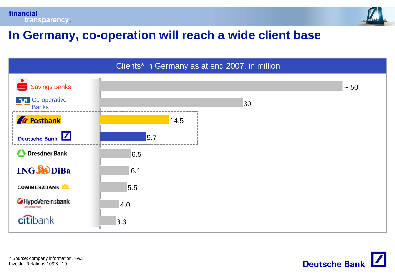



# **In Germany co Germany, co-operation will reach <sup>a</sup> wide client base operation**



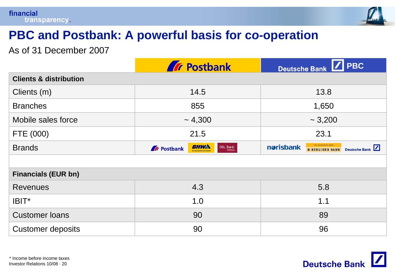

# **PBC and Postbank: A powerful basis for co basis -operation operation**

As of 31 December 2007

|                                   | <b>Tr</b> Postbank                                                                                                | $\sqrt{\phantom{a}}$ PBC<br>Deutsche Bank                                     |  |  |
|-----------------------------------|-------------------------------------------------------------------------------------------------------------------|-------------------------------------------------------------------------------|--|--|
| <b>Clients &amp; distribution</b> |                                                                                                                   |                                                                               |  |  |
| Clients (m)                       | 14.5                                                                                                              | 13.8                                                                          |  |  |
| <b>Branches</b>                   | 855                                                                                                               | 1,650                                                                         |  |  |
| Mobile sales force                | ~1,300                                                                                                            | $\sim 3,200$                                                                  |  |  |
| FTE (000)                         | 21.5                                                                                                              | 23.1                                                                          |  |  |
| <b>Brands</b>                     | BHWA<br>$\begin{tabular}{ c c } \hline \textbf{DSL} & \textbf{Bank} \\ \hline \end{tabular}$<br><b>A</b> Postbank | Die persönliche Bank.<br>norisbank<br>Deutsche Bank<br><b>B BERLINER BANK</b> |  |  |
|                                   |                                                                                                                   |                                                                               |  |  |
| <b>Financials (EUR bn)</b>        |                                                                                                                   |                                                                               |  |  |
| <b>Revenues</b>                   | 4.3                                                                                                               | 5.8                                                                           |  |  |
| IBIT*                             | 1.0                                                                                                               | 1.1                                                                           |  |  |
| <b>Customer loans</b>             | 90                                                                                                                | 89                                                                            |  |  |
| <b>Customer deposits</b>          | 90                                                                                                                | 96                                                                            |  |  |

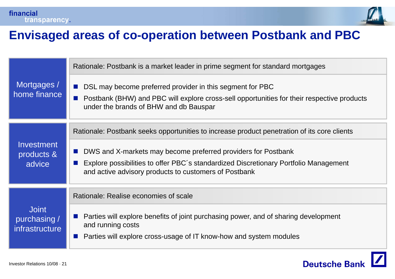



### **Envisaged areas of co co-operation between Postbank and PBC operation**

|                                                       | Rationale: Postbank is a market leader in prime segment for standard mortgages                                                                                                                                                  |
|-------------------------------------------------------|---------------------------------------------------------------------------------------------------------------------------------------------------------------------------------------------------------------------------------|
| Mortgages /<br>home finance                           | DSL may become preferred provider in this segment for PBC<br>$\mathcal{L}^{\text{max}}$<br>Postbank (BHW) and PBC will explore cross-sell opportunities for their respective products<br>under the brands of BHW and db Bauspar |
| Investment<br>products &<br>advice                    | Rationale: Postbank seeks opportunities to increase product penetration of its core clients                                                                                                                                     |
|                                                       | DWS and X-markets may become preferred providers for Postbank<br><b>COL</b><br>Explore possibilities to offer PBC's standardized Discretionary Portfolio Management<br>and active advisory products to customers of Postbank    |
| <b>Joint</b><br>purchasing /<br><i>infrastructure</i> | Rationale: Realise economies of scale                                                                                                                                                                                           |
|                                                       | Parties will explore benefits of joint purchasing power, and of sharing development<br>and running costs<br>Parties will explore cross-usage of IT know-how and system modules                                                  |

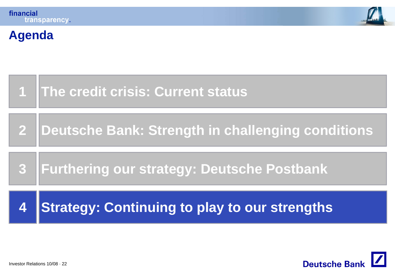**Agenda**





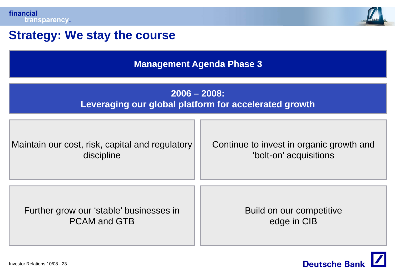

# **Strategy: We stay the course**

**Management Agenda Phase 3**

#### **2006 – 2008: Leveraging our global platform for accelerated growth**

| Maintain our cost, risk, capital and regulatory | Continue to invest in organic growth and |  |
|-------------------------------------------------|------------------------------------------|--|
| discipline                                      | 'bolt-on' acquisitions                   |  |
| Further grow our 'stable' businesses in         | Build on our competitive                 |  |
| <b>PCAM and GTB</b>                             | edge in CIB                              |  |

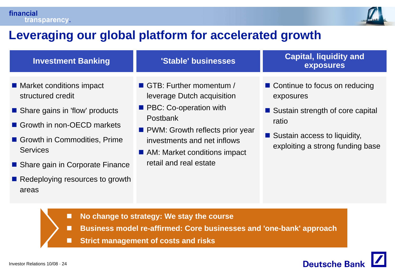

# **Leveraging our global platform for accelerated growth**

| <b>Investment Banking</b>                                                                                                                                                                                                                           | 'Stable' businesses                                                                                                                                                                                                              | <b>Capital, liquidity and</b><br>exposures                                                                                                                        |
|-----------------------------------------------------------------------------------------------------------------------------------------------------------------------------------------------------------------------------------------------------|----------------------------------------------------------------------------------------------------------------------------------------------------------------------------------------------------------------------------------|-------------------------------------------------------------------------------------------------------------------------------------------------------------------|
| ■ Market conditions impact<br>structured credit<br>Share gains in 'flow' products<br>Growth in non-OECD markets<br>Growth in Commodities, Prime<br><b>Services</b><br>■ Share gain in Corporate Finance<br>Redeploying resources to growth<br>areas | GTB: Further momentum /<br>leverage Dutch acquisition<br><b>PBC: Co-operation with</b><br>Postbank<br>• PWM: Growth reflects prior year<br>investments and net inflows<br>AM: Market conditions impact<br>retail and real estate | ■ Continue to focus on reducing<br>exposures<br>■ Sustain strength of core capital<br>ratio<br>■ Sustain access to liquidity,<br>exploiting a strong funding base |

- П **No change to strategy: We stay the course**
- П **Business model re-affirmed: Core businesses and 'one-bank' approach**
- Г **Strict management of costs and risks**